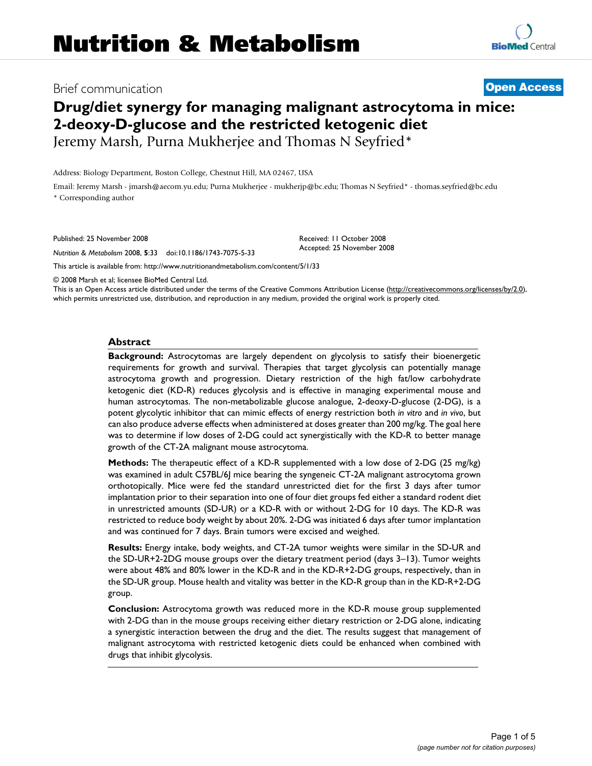# Brief communication **[Open Access](http://www.biomedcentral.com/info/about/charter/)**

# **Drug/diet synergy for managing malignant astrocytoma in mice: 2-deoxy-D-glucose and the restricted ketogenic diet** Jeremy Marsh, Purna Mukherjee and Thomas N Seyfried\*

Address: Biology Department, Boston College, Chestnut Hill, MA 02467, USA

Email: Jeremy Marsh - jmarsh@aecom.yu.edu; Purna Mukherjee - mukherjp@bc.edu; Thomas N Seyfried\* - thomas.seyfried@bc.edu \* Corresponding author

Published: 25 November 2008

*Nutrition & Metabolism* 2008, **5**:33 doi:10.1186/1743-7075-5-33

[This article is available from: http://www.nutritionandmetabolism.com/content/5/1/33](http://www.nutritionandmetabolism.com/content/5/1/33)

© 2008 Marsh et al; licensee BioMed Central Ltd.

This is an Open Access article distributed under the terms of the Creative Commons Attribution License [\(http://creativecommons.org/licenses/by/2.0\)](http://creativecommons.org/licenses/by/2.0), which permits unrestricted use, distribution, and reproduction in any medium, provided the original work is properly cited.

#### **Abstract**

**Background:** Astrocytomas are largely dependent on glycolysis to satisfy their bioenergetic requirements for growth and survival. Therapies that target glycolysis can potentially manage astrocytoma growth and progression. Dietary restriction of the high fat/low carbohydrate ketogenic diet (KD-R) reduces glycolysis and is effective in managing experimental mouse and human astrocytomas. The non-metabolizable glucose analogue, 2-deoxy-D-glucose (2-DG), is a potent glycolytic inhibitor that can mimic effects of energy restriction both *in vitro* and *in vivo*, but can also produce adverse effects when administered at doses greater than 200 mg/kg. The goal here was to determine if low doses of 2-DG could act synergistically with the KD-R to better manage growth of the CT-2A malignant mouse astrocytoma.

**Methods:** The therapeutic effect of a KD-R supplemented with a low dose of 2-DG (25 mg/kg) was examined in adult C57BL/6J mice bearing the syngeneic CT-2A malignant astrocytoma grown orthotopically. Mice were fed the standard unrestricted diet for the first 3 days after tumor implantation prior to their separation into one of four diet groups fed either a standard rodent diet in unrestricted amounts (SD-UR) or a KD-R with or without 2-DG for 10 days. The KD-R was restricted to reduce body weight by about 20%. 2-DG was initiated 6 days after tumor implantation and was continued for 7 days. Brain tumors were excised and weighed.

**Results:** Energy intake, body weights, and CT-2A tumor weights were similar in the SD-UR and the SD-UR+2-2DG mouse groups over the dietary treatment period (days 3–13). Tumor weights were about 48% and 80% lower in the KD-R and in the KD-R+2-DG groups, respectively, than in the SD-UR group. Mouse health and vitality was better in the KD-R group than in the KD-R+2-DG group.

**Conclusion:** Astrocytoma growth was reduced more in the KD-R mouse group supplemented with 2-DG than in the mouse groups receiving either dietary restriction or 2-DG alone, indicating a synergistic interaction between the drug and the diet. The results suggest that management of malignant astrocytoma with restricted ketogenic diets could be enhanced when combined with drugs that inhibit glycolysis.

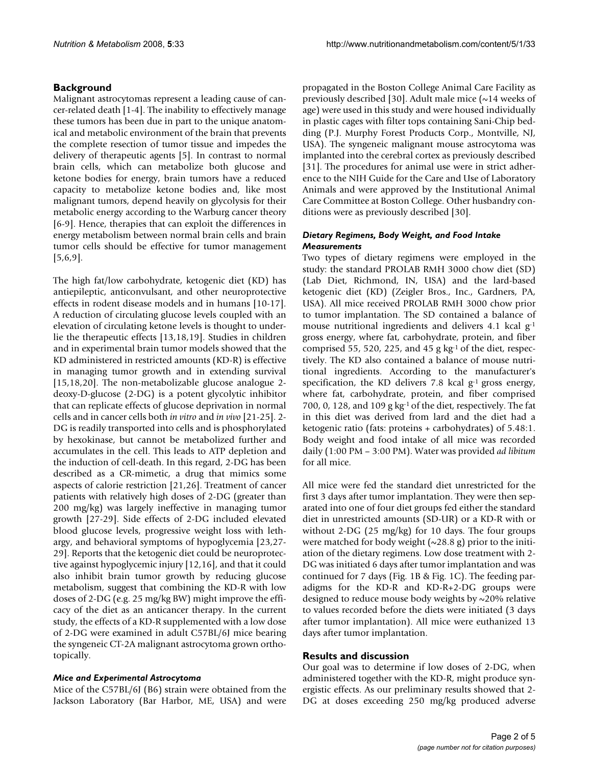# **Background**

Malignant astrocytomas represent a leading cause of cancer-related death [1-4]. The inability to effectively manage these tumors has been due in part to the unique anatomical and metabolic environment of the brain that prevents the complete resection of tumor tissue and impedes the delivery of therapeutic agents [5]. In contrast to normal brain cells, which can metabolize both glucose and ketone bodies for energy, brain tumors have a reduced capacity to metabolize ketone bodies and, like most malignant tumors, depend heavily on glycolysis for their metabolic energy according to the Warburg cancer theory [6-9]. Hence, therapies that can exploit the differences in energy metabolism between normal brain cells and brain tumor cells should be effective for tumor management [5,6,9].

The high fat/low carbohydrate, ketogenic diet (KD) has antiepileptic, anticonvulsant, and other neuroprotective effects in rodent disease models and in humans [10-17]. A reduction of circulating glucose levels coupled with an elevation of circulating ketone levels is thought to underlie the therapeutic effects [13,18,19]. Studies in children and in experimental brain tumor models showed that the KD administered in restricted amounts (KD-R) is effective in managing tumor growth and in extending survival [15,18,20]. The non-metabolizable glucose analogue 2 deoxy-D-glucose (2-DG) is a potent glycolytic inhibitor that can replicate effects of glucose deprivation in normal cells and in cancer cells both *in vitro* and *in vivo* [21-25]. 2- DG is readily transported into cells and is phosphorylated by hexokinase, but cannot be metabolized further and accumulates in the cell. This leads to ATP depletion and the induction of cell-death. In this regard, 2-DG has been described as a CR-mimetic, a drug that mimics some aspects of calorie restriction [21,26]. Treatment of cancer patients with relatively high doses of 2-DG (greater than 200 mg/kg) was largely ineffective in managing tumor growth [27-29]. Side effects of 2-DG included elevated blood glucose levels, progressive weight loss with lethargy, and behavioral symptoms of hypoglycemia [23,27- 29]. Reports that the ketogenic diet could be neuroprotective against hypoglycemic injury [12,16], and that it could also inhibit brain tumor growth by reducing glucose metabolism, suggest that combining the KD-R with low doses of 2-DG (e.g. 25 mg/kg BW) might improve the efficacy of the diet as an anticancer therapy. In the current study, the effects of a KD-R supplemented with a low dose of 2-DG were examined in adult C57BL/6J mice bearing the syngeneic CT-2A malignant astrocytoma grown orthotopically.

# *Mice and Experimental Astrocytoma*

Mice of the C57BL/6J (B6) strain were obtained from the Jackson Laboratory (Bar Harbor, ME, USA) and were propagated in the Boston College Animal Care Facility as previously described [30]. Adult male mice (~14 weeks of age) were used in this study and were housed individually in plastic cages with filter tops containing Sani-Chip bedding (P.J. Murphy Forest Products Corp., Montville, NJ, USA). The syngeneic malignant mouse astrocytoma was implanted into the cerebral cortex as previously described [31]. The procedures for animal use were in strict adherence to the NIH Guide for the Care and Use of Laboratory Animals and were approved by the Institutional Animal Care Committee at Boston College. Other husbandry conditions were as previously described [30].

### *Dietary Regimens, Body Weight, and Food Intake Measurements*

Two types of dietary regimens were employed in the study: the standard PROLAB RMH 3000 chow diet (SD) (Lab Diet, Richmond, IN, USA) and the lard-based ketogenic diet (KD) (Zeigler Bros., Inc., Gardners, PA, USA). All mice received PROLAB RMH 3000 chow prior to tumor implantation. The SD contained a balance of mouse nutritional ingredients and delivers 4.1 kcal g<sup>-1</sup> gross energy, where fat, carbohydrate, protein, and fiber comprised 55, 520, 225, and 45 g  $kg<sup>-1</sup>$  of the diet, respectively. The KD also contained a balance of mouse nutritional ingredients. According to the manufacturer's specification, the KD delivers 7.8 kcal  $g^{-1}$  gross energy, where fat, carbohydrate, protein, and fiber comprised 700, 0, 128, and 109 g  $kg<sup>-1</sup>$  of the diet, respectively. The fat in this diet was derived from lard and the diet had a ketogenic ratio (fats: proteins + carbohydrates) of 5.48:1. Body weight and food intake of all mice was recorded daily (1:00 PM – 3:00 PM). Water was provided *ad libitum* for all mice.

All mice were fed the standard diet unrestricted for the first 3 days after tumor implantation. They were then separated into one of four diet groups fed either the standard diet in unrestricted amounts (SD-UR) or a KD-R with or without 2-DG (25 mg/kg) for 10 days. The four groups were matched for body weight  $(\sim 28.8 \text{ g})$  prior to the initiation of the dietary regimens. Low dose treatment with 2- DG was initiated 6 days after tumor implantation and was continued for 7 days (Fig. 1B & Fig. 1C). The feeding paradigms for the KD-R and KD-R+2-DG groups were designed to reduce mouse body weights by ~20% relative to values recorded before the diets were initiated (3 days after tumor implantation). All mice were euthanized 13 days after tumor implantation.

# **Results and discussion**

Our goal was to determine if low doses of 2-DG, when administered together with the KD-R, might produce synergistic effects. As our preliminary results showed that 2- DG at doses exceeding 250 mg/kg produced adverse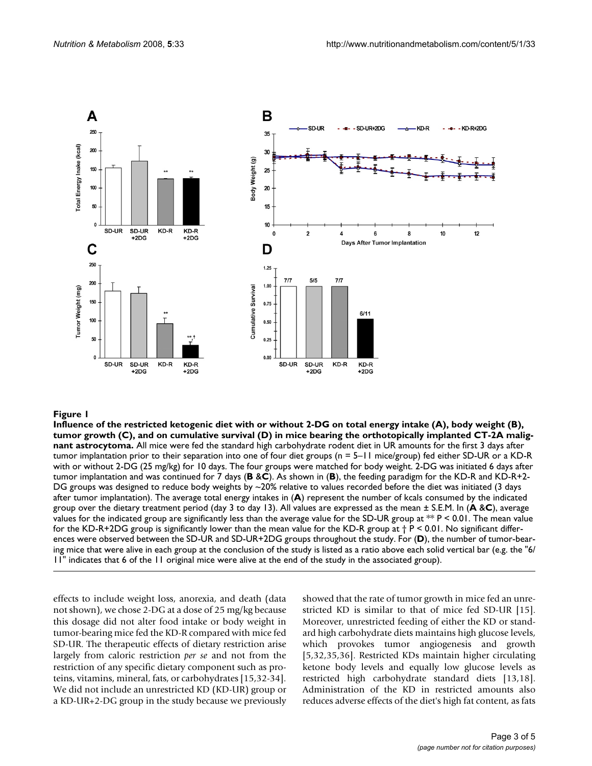

Influence of the restricted ketogenic diet with (**Figure 1 C**), and on cumulative survival (**D**) in mice bearing the orthotopically or without 2-DG on total energy intake ( implanted CT-2A malignant astrocytoma **A**), body weight (**B**), tumor growth **Influence of the restricted ketogenic diet with or without 2-DG on total energy intake (A), body weight (B), tumor growth (C), and on cumulative survival (D) in mice bearing the orthotopically implanted CT-2A malignant astrocytoma.** All mice were fed the standard high carbohydrate rodent diet in UR amounts for the first 3 days after tumor implantation prior to their separation into one of four diet groups (n = 5–11 mice/group) fed either SD-UR or a KD-R with or without 2-DG (25 mg/kg) for 10 days. The four groups were matched for body weight. 2-DG was initiated 6 days after tumor implantation and was continued for 7 days (**B** &**C**). As shown in (**B**), the feeding paradigm for the KD-R and KD-R+2- DG groups was designed to reduce body weights by  $\sim$ 20% relative to values recorded before the diet was initiated (3 days after tumor implantation). The average total energy intakes in (**A**) represent the number of kcals consumed by the indicated group over the dietary treatment period (day 3 to day 13). All values are expressed as the mean ± S.E.M. In (**A** &**C**), average values for the indicated group are significantly less than the average value for the SD-UR group at  $**$  P < 0.01. The mean value for the KD-R+2DG group is significantly lower than the mean value for the KD-R group at  $\dagger$  P < 0.01. No significant differences were observed between the SD-UR and SD-UR+2DG groups throughout the study. For (**D**), the number of tumor-bearing mice that were alive in each group at the conclusion of the study is listed as a ratio above each solid vertical bar (e.g. the "6/ 11" indicates that 6 of the 11 original mice were alive at the end of the study in the associated group).

effects to include weight loss, anorexia, and death (data not shown), we chose 2-DG at a dose of 25 mg/kg because this dosage did not alter food intake or body weight in tumor-bearing mice fed the KD-R compared with mice fed SD-UR. The therapeutic effects of dietary restriction arise largely from caloric restriction *per se* and not from the restriction of any specific dietary component such as proteins, vitamins, mineral, fats, or carbohydrates [15,32-34]. We did not include an unrestricted KD (KD-UR) group or a KD-UR+2-DG group in the study because we previously showed that the rate of tumor growth in mice fed an unrestricted KD is similar to that of mice fed SD-UR [15]. Moreover, unrestricted feeding of either the KD or standard high carbohydrate diets maintains high glucose levels, which provokes tumor angiogenesis and growth [5,32,35,36]. Restricted KDs maintain higher circulating ketone body levels and equally low glucose levels as restricted high carbohydrate standard diets [13,18]. Administration of the KD in restricted amounts also reduces adverse effects of the diet's high fat content, as fats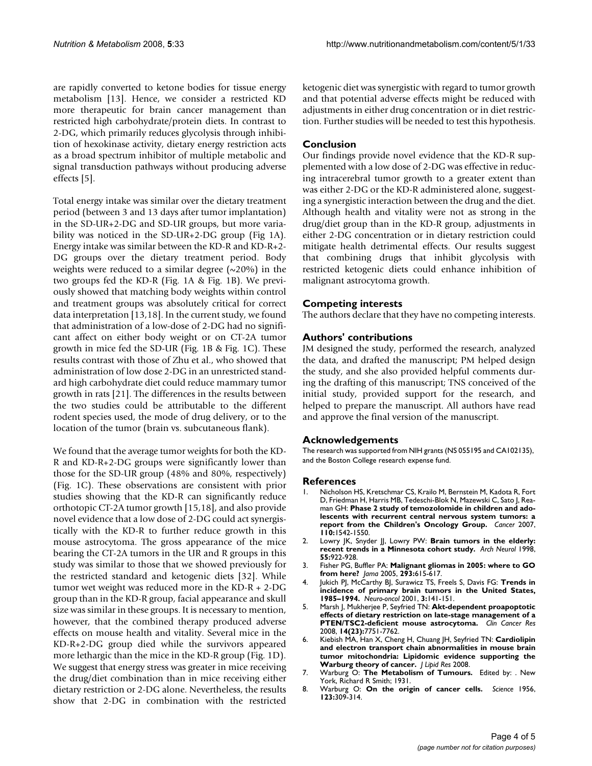are rapidly converted to ketone bodies for tissue energy metabolism [13]. Hence, we consider a restricted KD more therapeutic for brain cancer management than restricted high carbohydrate/protein diets. In contrast to 2-DG, which primarily reduces glycolysis through inhibition of hexokinase activity, dietary energy restriction acts as a broad spectrum inhibitor of multiple metabolic and signal transduction pathways without producing adverse effects [5].

Total energy intake was similar over the dietary treatment period (between 3 and 13 days after tumor implantation) in the SD-UR+2-DG and SD-UR groups, but more variability was noticed in the SD-UR+2-DG group (Fig 1A). Energy intake was similar between the KD-R and KD-R+2- DG groups over the dietary treatment period. Body weights were reduced to a similar degree  $(\sim 20\%)$  in the two groups fed the KD-R (Fig. 1A & Fig. 1B). We previously showed that matching body weights within control and treatment groups was absolutely critical for correct data interpretation [13,18]. In the current study, we found that administration of a low-dose of 2-DG had no significant affect on either body weight or on CT-2A tumor growth in mice fed the SD-UR (Fig. 1B & Fig. 1C). These results contrast with those of Zhu et al., who showed that administration of low dose 2-DG in an unrestricted standard high carbohydrate diet could reduce mammary tumor growth in rats [21]. The differences in the results between the two studies could be attributable to the different rodent species used, the mode of drug delivery, or to the location of the tumor (brain vs. subcutaneous flank).

We found that the average tumor weights for both the KD-R and KD-R+2-DG groups were significantly lower than those for the SD-UR group (48% and 80%, respectively) (Fig. 1C). These observations are consistent with prior studies showing that the KD-R can significantly reduce orthotopic CT-2A tumor growth [15,18], and also provide novel evidence that a low dose of 2-DG could act synergistically with the KD-R to further reduce growth in this mouse astrocytoma. The gross appearance of the mice bearing the CT-2A tumors in the UR and R groups in this study was similar to those that we showed previously for the restricted standard and ketogenic diets [32]. While tumor wet weight was reduced more in the KD-R + 2-DG group than in the KD-R group, facial appearance and skull size was similar in these groups. It is necessary to mention, however, that the combined therapy produced adverse effects on mouse health and vitality. Several mice in the KD-R+2-DG group died while the survivors appeared more lethargic than the mice in the KD-R group (Fig. 1D). We suggest that energy stress was greater in mice receiving the drug/diet combination than in mice receiving either dietary restriction or 2-DG alone. Nevertheless, the results show that 2-DG in combination with the restricted

ketogenic diet was synergistic with regard to tumor growth and that potential adverse effects might be reduced with adjustments in either drug concentration or in diet restriction. Further studies will be needed to test this hypothesis.

## **Conclusion**

Our findings provide novel evidence that the KD-R supplemented with a low dose of 2-DG was effective in reducing intracerebral tumor growth to a greater extent than was either 2-DG or the KD-R administered alone, suggesting a synergistic interaction between the drug and the diet. Although health and vitality were not as strong in the drug/diet group than in the KD-R group, adjustments in either 2-DG concentration or in dietary restriction could mitigate health detrimental effects. Our results suggest that combining drugs that inhibit glycolysis with restricted ketogenic diets could enhance inhibition of malignant astrocytoma growth.

## **Competing interests**

The authors declare that they have no competing interests.

### **Authors' contributions**

JM designed the study, performed the research, analyzed the data, and drafted the manuscript; PM helped design the study, and she also provided helpful comments during the drafting of this manuscript; TNS conceived of the initial study, provided support for the research, and helped to prepare the manuscript. All authors have read and approve the final version of the manuscript.

### **Acknowledgements**

The research was supported from NIH grants (NS 055195 and CA102135), and the Boston College research expense fund.

### **References**

- 1. Nicholson HS, Kretschmar CS, Krailo M, Bernstein M, Kadota R, Fort D, Friedman H, Harris MB, Tedeschi-Blok N, Mazewski C, Sato J, Reaman GH: **[Phase 2 study of temozolomide in children and ado](http://www.ncbi.nlm.nih.gov/entrez/query.fcgi?cmd=Retrieve&db=PubMed&dopt=Abstract&list_uids=17705175)[lescents with recurrent central nervous system tumors: a](http://www.ncbi.nlm.nih.gov/entrez/query.fcgi?cmd=Retrieve&db=PubMed&dopt=Abstract&list_uids=17705175) [report from the Children's Oncology Group.](http://www.ncbi.nlm.nih.gov/entrez/query.fcgi?cmd=Retrieve&db=PubMed&dopt=Abstract&list_uids=17705175)** *Cancer* 2007, **110:**1542-1550.
- 2. Lowry JK, Snyder JJ, Lowry PW: [Brain tumors in the elderly:](http://www.ncbi.nlm.nih.gov/entrez/query.fcgi?cmd=Retrieve&db=PubMed&dopt=Abstract&list_uids=9678309) **[recent trends in a Minnesota cohort study.](http://www.ncbi.nlm.nih.gov/entrez/query.fcgi?cmd=Retrieve&db=PubMed&dopt=Abstract&list_uids=9678309)** *Arch Neurol* 1998, **55:**922-928.
- 3. Fisher PG, Buffler PA: **[Malignant gliomas in 2005: where to GO](http://www.ncbi.nlm.nih.gov/entrez/query.fcgi?cmd=Retrieve&db=PubMed&dopt=Abstract&list_uids=15687318) [from here?](http://www.ncbi.nlm.nih.gov/entrez/query.fcgi?cmd=Retrieve&db=PubMed&dopt=Abstract&list_uids=15687318)** *Jama* 2005, **293:**615-617.
- 4. Jukich PJ, McCarthy BJ, Surawicz TS, Freels S, Davis FG: **[Trends in](http://www.ncbi.nlm.nih.gov/entrez/query.fcgi?cmd=Retrieve&db=PubMed&dopt=Abstract&list_uids=11465394) [incidence of primary brain tumors in the United States,](http://www.ncbi.nlm.nih.gov/entrez/query.fcgi?cmd=Retrieve&db=PubMed&dopt=Abstract&list_uids=11465394) [1985–1994.](http://www.ncbi.nlm.nih.gov/entrez/query.fcgi?cmd=Retrieve&db=PubMed&dopt=Abstract&list_uids=11465394)** *Neuro-oncol* 2001, **3:**141-151.
- 5. Marsh J, Mukherjee P, Seyfried TN: **[Akt-dependent proapoptotic](http://www.ncbi.nlm.nih.gov/entrez/query.fcgi?cmd=Retrieve&db=PubMed&dopt=Abstract&list_uids=19047102) [effects of dietary restriction on late-stage management of a](http://www.ncbi.nlm.nih.gov/entrez/query.fcgi?cmd=Retrieve&db=PubMed&dopt=Abstract&list_uids=19047102) [PTEN/TSC2-deficient mouse astrocytoma.](http://www.ncbi.nlm.nih.gov/entrez/query.fcgi?cmd=Retrieve&db=PubMed&dopt=Abstract&list_uids=19047102)** *Clin Cancer Res* 2008, **14(23):**7751-7762.
- 6. Kiebish MA, Han X, Cheng H, Chuang JH, Seyfried TN: **[Cardiolipin](http://www.ncbi.nlm.nih.gov/entrez/query.fcgi?cmd=Retrieve&db=PubMed&dopt=Abstract&list_uids=18703489) and electron transport chain abnormalities in mouse brain [tumor mitochondria: Lipidomic evidence supporting the](http://www.ncbi.nlm.nih.gov/entrez/query.fcgi?cmd=Retrieve&db=PubMed&dopt=Abstract&list_uids=18703489) [Warburg theory of cancer.](http://www.ncbi.nlm.nih.gov/entrez/query.fcgi?cmd=Retrieve&db=PubMed&dopt=Abstract&list_uids=18703489)** *J Lipid Res* 2008.
- 7. Warburg O: **The Metabolism of Tumours.** Edited by: . New York, Richard R Smith; 1931.
- 8. Warburg O: **[On the origin of cancer cells.](http://www.ncbi.nlm.nih.gov/entrez/query.fcgi?cmd=Retrieve&db=PubMed&dopt=Abstract&list_uids=13298683)** *Science* 1956, **123:**309-314.